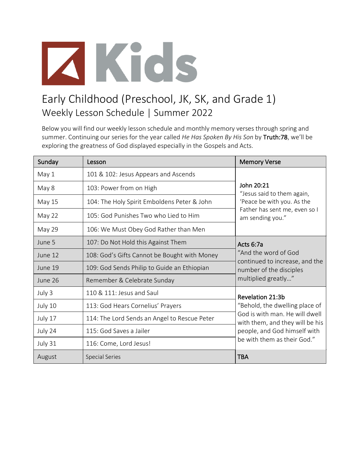

## Early Childhood (Preschool, JK, SK, and Grade 1) Weekly Lesson Schedule | Summer 2022

Below you will find our weekly lesson schedule and monthly memory verses through spring and summer. Continuing our series for the year called *He Has Spoken By His Son* by Truth:78, we'll be exploring the greatness of God displayed especially in the Gospels and Acts.

| Sunday        | Lesson                                       | <b>Memory Verse</b>                                                                                                                                                                    |
|---------------|----------------------------------------------|----------------------------------------------------------------------------------------------------------------------------------------------------------------------------------------|
| May 1         | 101 & 102: Jesus Appears and Ascends         | John 20:21<br>"Jesus said to them again,<br>'Peace be with you. As the<br>Father has sent me, even so I<br>am sending you."                                                            |
| May 8         | 103: Power from on High                      |                                                                                                                                                                                        |
| May 15        | 104: The Holy Spirit Emboldens Peter & John  |                                                                                                                                                                                        |
| May 22        | 105: God Punishes Two who Lied to Him        |                                                                                                                                                                                        |
| <b>May 29</b> | 106: We Must Obey God Rather than Men        |                                                                                                                                                                                        |
| June 5        | 107: Do Not Hold this Against Them           | Acts 6:7a<br>"And the word of God<br>continued to increase, and the<br>number of the disciples<br>multiplied greatly"                                                                  |
| June 12       | 108: God's Gifts Cannot be Bought with Money |                                                                                                                                                                                        |
| June 19       | 109: God Sends Philip to Guide an Ethiopian  |                                                                                                                                                                                        |
| June 26       | Remember & Celebrate Sunday                  |                                                                                                                                                                                        |
| July 3        | 110 & 111: Jesus and Saul                    | Revelation 21:3b<br>"Behold, the dwelling place of<br>God is with man. He will dwell<br>with them, and they will be his<br>people, and God himself with<br>be with them as their God." |
| July 10       | 113: God Hears Cornelius' Prayers            |                                                                                                                                                                                        |
| July 17       | 114: The Lord Sends an Angel to Rescue Peter |                                                                                                                                                                                        |
| July 24       | 115: God Saves a Jailer                      |                                                                                                                                                                                        |
| July 31       | 116: Come, Lord Jesus!                       |                                                                                                                                                                                        |
| August        | <b>Special Series</b>                        | <b>TBA</b>                                                                                                                                                                             |